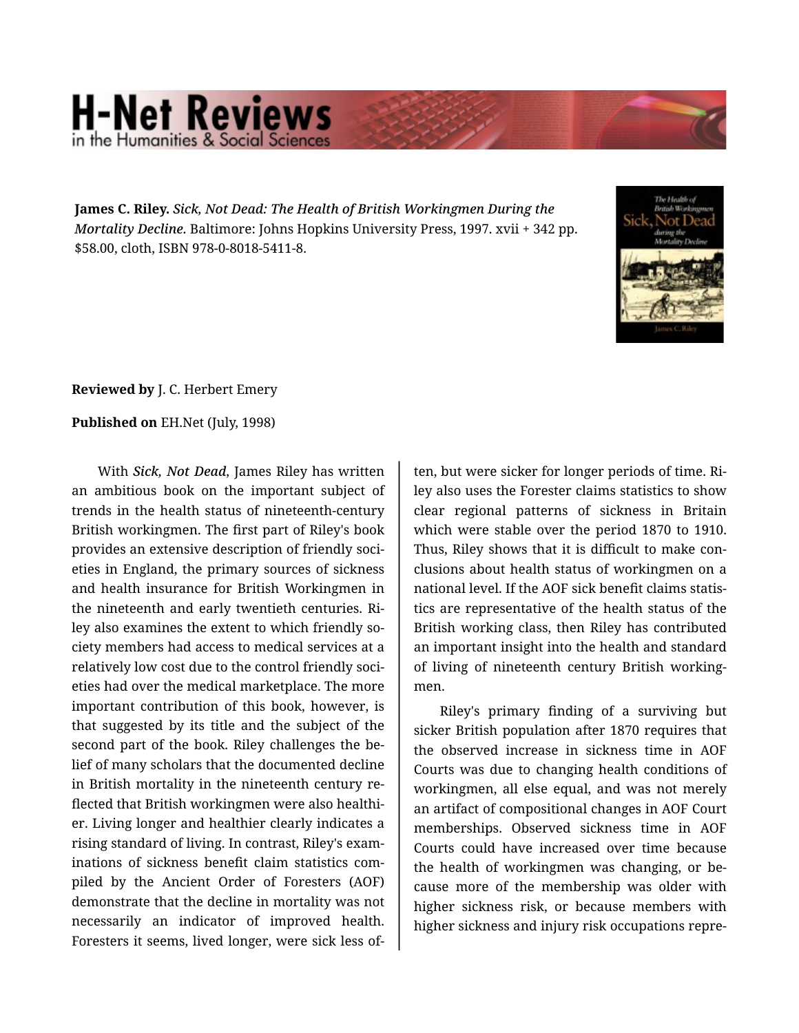## **H-Net Reviews** in the Humanities & Social Scie

**James C. Riley.** *Sick, Not Dead: The Health of British Workingmen During the Mortality Decline.* Baltimore: Johns Hopkins University Press, 1997. xvii + 342 pp. \$58.00, cloth, ISBN 978-0-8018-5411-8.



## **Reviewed by** J. C. Herbert Emery

## **Published on** EH.Net (July, 1998)

With *Sick, Not Dead*, James Riley has written an ambitious book on the important subject of trends in the health status of nineteenth-century British workingmen. The first part of Riley's book provides an extensive description of friendly soci‐ eties in England, the primary sources of sickness and health insurance for British Workingmen in the nineteenth and early twentieth centuries. Ri‐ ley also examines the extent to which friendly so‐ ciety members had access to medical services at a relatively low cost due to the control friendly soci‐ eties had over the medical marketplace. The more important contribution of this book, however, is that suggested by its title and the subject of the second part of the book. Riley challenges the be‐ lief of many scholars that the documented decline in British mortality in the nineteenth century reflected that British workingmen were also healthi‐ er. Living longer and healthier clearly indicates a rising standard of living. In contrast, Riley's exam‐ inations of sickness benefit claim statistics com‐ piled by the Ancient Order of Foresters (AOF) demonstrate that the decline in mortality was not necessarily an indicator of improved health. Foresters it seems, lived longer, were sick less of‐

ten, but were sicker for longer periods of time. Ri‐ ley also uses the Forester claims statistics to show clear regional patterns of sickness in Britain which were stable over the period 1870 to 1910. Thus, Riley shows that it is difficult to make con‐ clusions about health status of workingmen on a national level. If the AOF sick benefit claims statis‐ tics are representative of the health status of the British working class, then Riley has contributed an important insight into the health and standard of living of nineteenth century British working‐ men.

Riley's primary finding of a surviving but sicker British population after 1870 requires that the observed increase in sickness time in AOF Courts was due to changing health conditions of workingmen, all else equal, and was not merely an artifact of compositional changes in AOF Court memberships. Observed sickness time in AOF Courts could have increased over time because the health of workingmen was changing, or be‐ cause more of the membership was older with higher sickness risk, or because members with higher sickness and injury risk occupations repre‐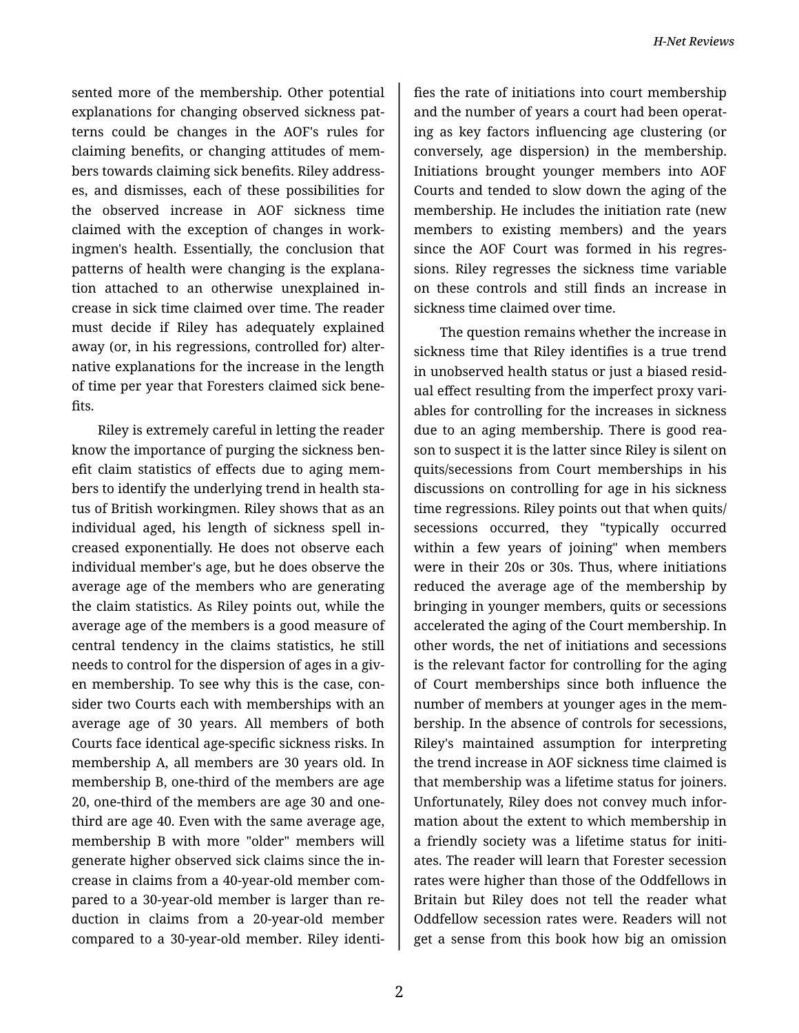sented more of the membership. Other potential explanations for changing observed sickness pat‐ terns could be changes in the AOF's rules for claiming benefits, or changing attitudes of mem‐ bers towards claiming sick benefits. Riley address‐ es, and dismisses, each of these possibilities for the observed increase in AOF sickness time claimed with the exception of changes in work‐ ingmen's health. Essentially, the conclusion that patterns of health were changing is the explana‐ tion attached to an otherwise unexplained in‐ crease in sick time claimed over time. The reader must decide if Riley has adequately explained away (or, in his regressions, controlled for) alter‐ native explanations for the increase in the length of time per year that Foresters claimed sick bene‐ fits.

Riley is extremely careful in letting the reader know the importance of purging the sickness ben‐ efit claim statistics of effects due to aging mem‐ bers to identify the underlying trend in health sta‐ tus of British workingmen. Riley shows that as an individual aged, his length of sickness spell in‐ creased exponentially. He does not observe each individual member's age, but he does observe the average age of the members who are generating the claim statistics. As Riley points out, while the average age of the members is a good measure of central tendency in the claims statistics, he still needs to control for the dispersion of ages in a giv‐ en membership. To see why this is the case, con‐ sider two Courts each with memberships with an average age of 30 years. All members of both Courts face identical age-specific sickness risks. In membership A, all members are 30 years old. In membership B, one-third of the members are age 20, one-third of the members are age 30 and onethird are age 40. Even with the same average age, membership B with more "older" members will generate higher observed sick claims since the in‐ crease in claims from a 40-year-old member com‐ pared to a 30-year-old member is larger than re‐ duction in claims from a 20-year-old member compared to a 30-year-old member. Riley identi‐

fies the rate of initiations into court membership and the number of years a court had been operat‐ ing as key factors influencing age clustering (or conversely, age dispersion) in the membership. Initiations brought younger members into AOF Courts and tended to slow down the aging of the membership. He includes the initiation rate (new members to existing members) and the years since the AOF Court was formed in his regres‐ sions. Riley regresses the sickness time variable on these controls and still finds an increase in sickness time claimed over time.

The question remains whether the increase in sickness time that Riley identifies is a true trend in unobserved health status or just a biased resid‐ ual effect resulting from the imperfect proxy vari‐ ables for controlling for the increases in sickness due to an aging membership. There is good rea‐ son to suspect it is the latter since Riley is silent on quits/secessions from Court memberships in his discussions on controlling for age in his sickness time regressions. Riley points out that when quits/ secessions occurred, they "typically occurred within a few years of joining" when members were in their 20s or 30s. Thus, where initiations reduced the average age of the membership by bringing in younger members, quits or secessions accelerated the aging of the Court membership. In other words, the net of initiations and secessions is the relevant factor for controlling for the aging of Court memberships since both influence the number of members at younger ages in the mem‐ bership. In the absence of controls for secessions, Riley's maintained assumption for interpreting the trend increase in AOF sickness time claimed is that membership was a lifetime status for joiners. Unfortunately, Riley does not convey much infor‐ mation about the extent to which membership in a friendly society was a lifetime status for initi‐ ates. The reader will learn that Forester secession rates were higher than those of the Oddfellows in Britain but Riley does not tell the reader what Oddfellow secession rates were. Readers will not get a sense from this book how big an omission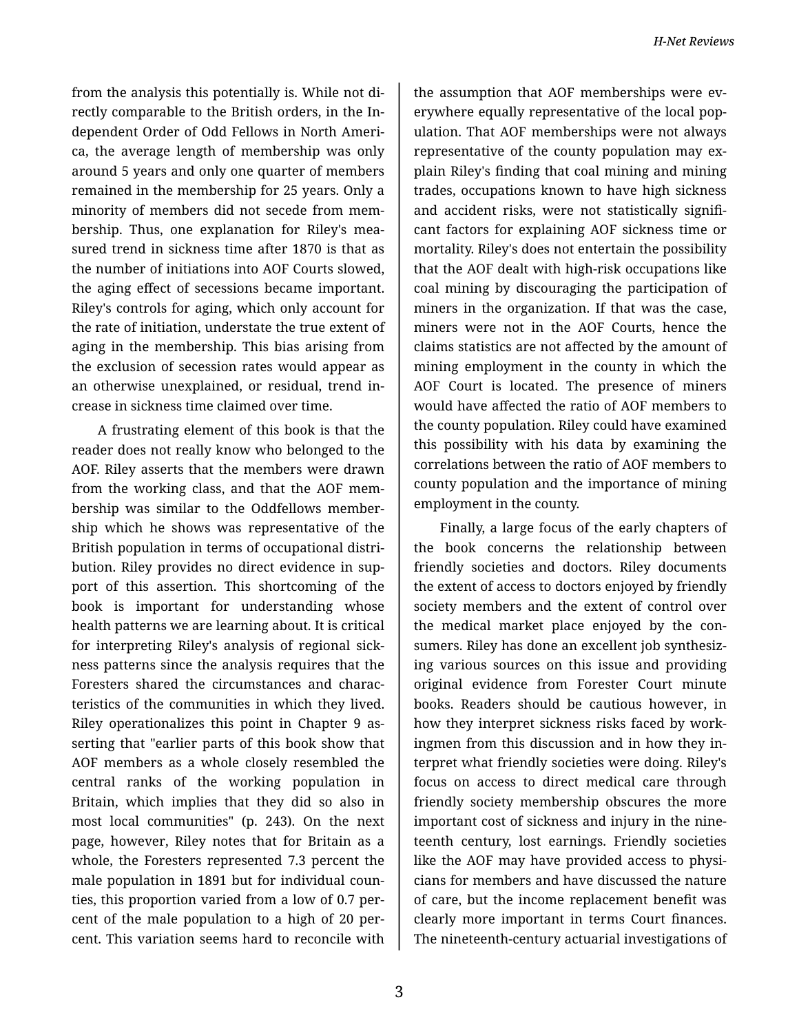from the analysis this potentially is. While not di‐ rectly comparable to the British orders, in the In‐ dependent Order of Odd Fellows in North Ameri‐ ca, the average length of membership was only around 5 years and only one quarter of members remained in the membership for 25 years. Only a minority of members did not secede from mem‐ bership. Thus, one explanation for Riley's mea‐ sured trend in sickness time after 1870 is that as the number of initiations into AOF Courts slowed, the aging effect of secessions became important. Riley's controls for aging, which only account for the rate of initiation, understate the true extent of aging in the membership. This bias arising from the exclusion of secession rates would appear as an otherwise unexplained, or residual, trend in‐ crease in sickness time claimed over time.

A frustrating element of this book is that the reader does not really know who belonged to the AOF. Riley asserts that the members were drawn from the working class, and that the AOF mem‐ bership was similar to the Oddfellows member‐ ship which he shows was representative of the British population in terms of occupational distri‐ bution. Riley provides no direct evidence in sup‐ port of this assertion. This shortcoming of the book is important for understanding whose health patterns we are learning about. It is critical for interpreting Riley's analysis of regional sick‐ ness patterns since the analysis requires that the Foresters shared the circumstances and charac‐ teristics of the communities in which they lived. Riley operationalizes this point in Chapter 9 as‐ serting that "earlier parts of this book show that AOF members as a whole closely resembled the central ranks of the working population in Britain, which implies that they did so also in most local communities" (p. 243). On the next page, however, Riley notes that for Britain as a whole, the Foresters represented 7.3 percent the male population in 1891 but for individual coun‐ ties, this proportion varied from a low of 0.7 per‐ cent of the male population to a high of 20 per‐ cent. This variation seems hard to reconcile with

the assumption that AOF memberships were ev‐ erywhere equally representative of the local pop‐ ulation. That AOF memberships were not always representative of the county population may explain Riley's finding that coal mining and mining trades, occupations known to have high sickness and accident risks, were not statistically signifi‐ cant factors for explaining AOF sickness time or mortality. Riley's does not entertain the possibility that the AOF dealt with high-risk occupations like coal mining by discouraging the participation of miners in the organization. If that was the case, miners were not in the AOF Courts, hence the claims statistics are not affected by the amount of mining employment in the county in which the AOF Court is located. The presence of miners would have affected the ratio of AOF members to the county population. Riley could have examined this possibility with his data by examining the correlations between the ratio of AOF members to county population and the importance of mining employment in the county.

Finally, a large focus of the early chapters of the book concerns the relationship between friendly societies and doctors. Riley documents the extent of access to doctors enjoyed by friendly society members and the extent of control over the medical market place enjoyed by the con‐ sumers. Riley has done an excellent job synthesiz‐ ing various sources on this issue and providing original evidence from Forester Court minute books. Readers should be cautious however, in how they interpret sickness risks faced by work‐ ingmen from this discussion and in how they in‐ terpret what friendly societies were doing. Riley's focus on access to direct medical care through friendly society membership obscures the more important cost of sickness and injury in the nine‐ teenth century, lost earnings. Friendly societies like the AOF may have provided access to physi‐ cians for members and have discussed the nature of care, but the income replacement benefit was clearly more important in terms Court finances. The nineteenth-century actuarial investigations of